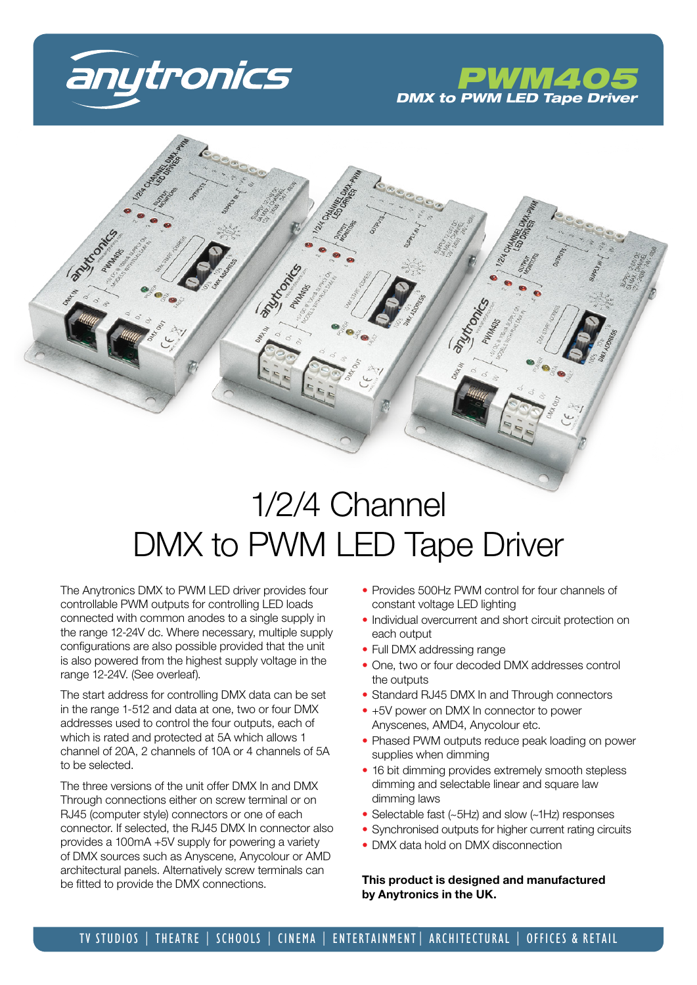

*DMX to PWM LED Tape Driver PWM405*

# 1/2/4 Channel DMX to PWM LED Tape Driver

The Anytronics DMX to PWM LED driver provides four controllable PWM outputs for controlling LED loads connected with common anodes to a single supply in the range 12-24V dc. Where necessary, multiple supply configurations are also possible provided that the unit is also powered from the highest supply voltage in the range 12-24V. (See overleaf).

The start address for controlling DMX data can be set in the range 1-512 and data at one, two or four DMX addresses used to control the four outputs, each of which is rated and protected at 5A which allows 1 channel of 20A, 2 channels of 10A or 4 channels of 5A to be selected.

The three versions of the unit offer DMX In and DMX Through connections either on screw terminal or on RJ45 (computer style) connectors or one of each connector. If selected, the RJ45 DMX In connector also provides a 100mA +5V supply for powering a variety of DMX sources such as Anyscene, Anycolour or AMD architectural panels. Alternatively screw terminals can be fitted to provide the DMX connections.

- Provides 500Hz PWM control for four channels of constant voltage LED lighting
- Individual overcurrent and short circuit protection on each output
- Full DMX addressing range
- One, two or four decoded DMX addresses control the outputs
- Standard RJ45 DMX In and Through connectors
- +5V power on DMX In connector to power Anyscenes, AMD4, Anycolour etc.
- Phased PWM outputs reduce peak loading on power supplies when dimming
- 16 bit dimming provides extremely smooth stepless dimming and selectable linear and square law dimming laws
- Selectable fast (~5Hz) and slow (~1Hz) responses
- Synchronised outputs for higher current rating circuits
- DMX data hold on DMX disconnection

This product is designed and manufactured by Anytronics in the UK.